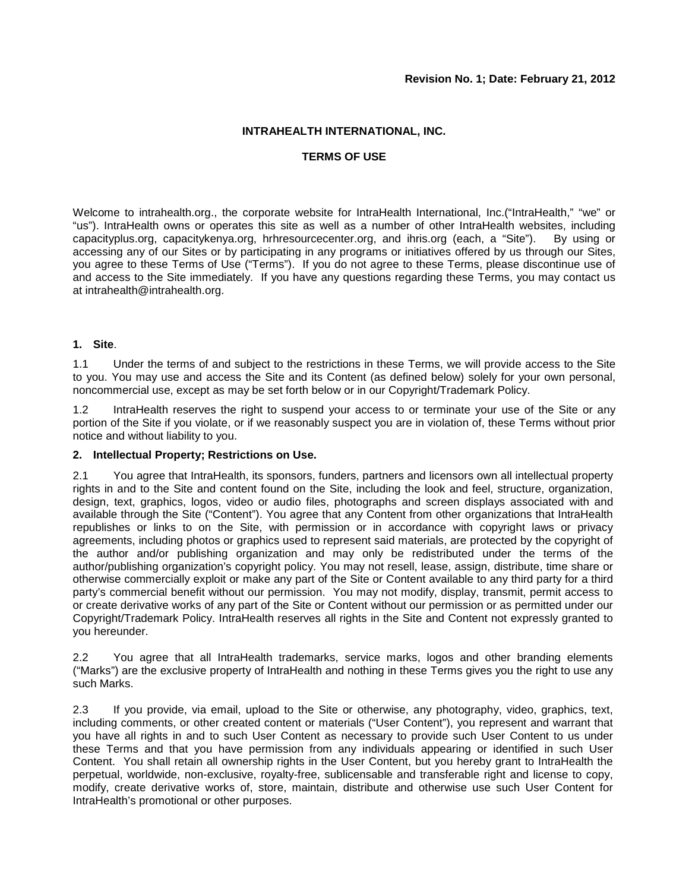#### **INTRAHEALTH INTERNATIONAL, INC.**

#### **TERMS OF USE**

Welcome to intrahealth.org., the corporate website for IntraHealth International, Inc.("IntraHealth," "we" or "us"). IntraHealth owns or operates this site as well as a number of other IntraHealth websites, including capacityplus.org, capacitykenya.org, hrhresourcecenter.org, and ihris.org (each, a "Site"). By using or accessing any of our Sites or by participating in any programs or initiatives offered by us through our Sites, you agree to these Terms of Use ("Terms"). If you do not agree to these Terms, please discontinue use of and access to the Site immediately. If you have any questions regarding these Terms, you may contact us at intrahealth@intrahealth.org.

# **1. Site**.

1.1 Under the terms of and subject to the restrictions in these Terms, we will provide access to the Site to you. You may use and access the Site and its Content (as defined below) solely for your own personal, noncommercial use, except as may be set forth below or in our Copyright/Trademark Policy.

1.2 IntraHealth reserves the right to suspend your access to or terminate your use of the Site or any portion of the Site if you violate, or if we reasonably suspect you are in violation of, these Terms without prior notice and without liability to you.

#### **2. Intellectual Property; Restrictions on Use.**

2.1 You agree that IntraHealth, its sponsors, funders, partners and licensors own all intellectual property rights in and to the Site and content found on the Site, including the look and feel, structure, organization, design, text, graphics, logos, video or audio files, photographs and screen displays associated with and available through the Site ("Content"). You agree that any Content from other organizations that IntraHealth republishes or links to on the Site, with permission or in accordance with copyright laws or privacy agreements, including photos or graphics used to represent said materials, are protected by the copyright of the author and/or publishing organization and may only be redistributed under the terms of the author/publishing organization's copyright policy. You may not resell, lease, assign, distribute, time share or otherwise commercially exploit or make any part of the Site or Content available to any third party for a third party's commercial benefit without our permission. You may not modify, display, transmit, permit access to or create derivative works of any part of the Site or Content without our permission or as permitted under our Copyright/Trademark Policy. IntraHealth reserves all rights in the Site and Content not expressly granted to you hereunder.

2.2 You agree that all IntraHealth trademarks, service marks, logos and other branding elements ("Marks") are the exclusive property of IntraHealth and nothing in these Terms gives you the right to use any such Marks.

2.3 If you provide, via email, upload to the Site or otherwise, any photography, video, graphics, text, including comments, or other created content or materials ("User Content"), you represent and warrant that you have all rights in and to such User Content as necessary to provide such User Content to us under these Terms and that you have permission from any individuals appearing or identified in such User Content. You shall retain all ownership rights in the User Content, but you hereby grant to IntraHealth the perpetual, worldwide, non-exclusive, royalty-free, sublicensable and transferable right and license to copy, modify, create derivative works of, store, maintain, distribute and otherwise use such User Content for IntraHealth's promotional or other purposes.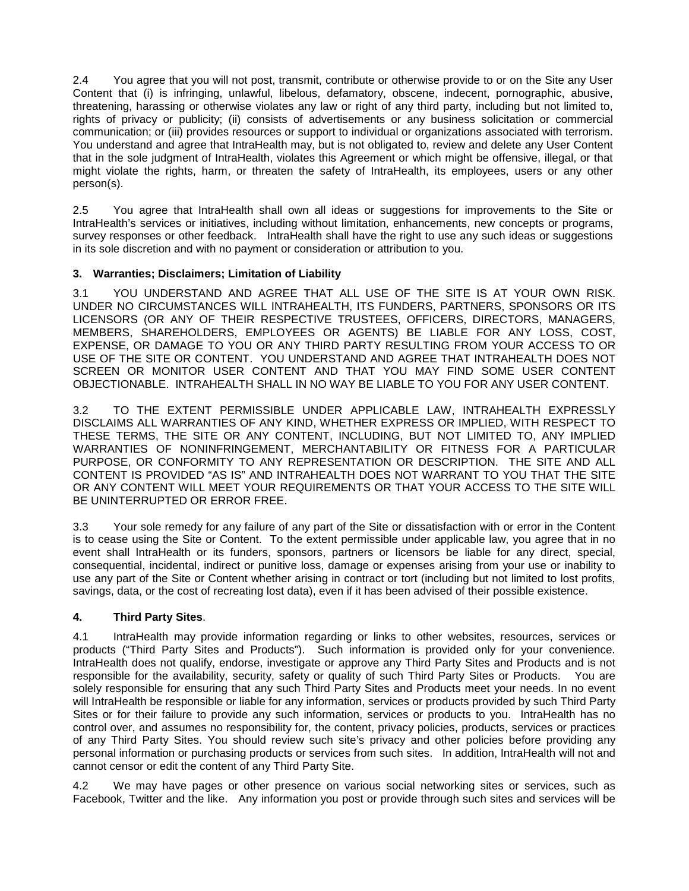2.4 You agree that you will not post, transmit, contribute or otherwise provide to or on the Site any User Content that (i) is infringing, unlawful, libelous, defamatory, obscene, indecent, pornographic, abusive, threatening, harassing or otherwise violates any law or right of any third party, including but not limited to, rights of privacy or publicity; (ii) consists of advertisements or any business solicitation or commercial communication; or (iii) provides resources or support to individual or organizations associated with terrorism. You understand and agree that IntraHealth may, but is not obligated to, review and delete any User Content that in the sole judgment of IntraHealth, violates this Agreement or which might be offensive, illegal, or that might violate the rights, harm, or threaten the safety of IntraHealth, its employees, users or any other person(s).

2.5 You agree that IntraHealth shall own all ideas or suggestions for improvements to the Site or IntraHealth's services or initiatives, including without limitation, enhancements, new concepts or programs, survey responses or other feedback. IntraHealth shall have the right to use any such ideas or suggestions in its sole discretion and with no payment or consideration or attribution to you.

# **3. Warranties; Disclaimers; Limitation of Liability**

3.1 YOU UNDERSTAND AND AGREE THAT ALL USE OF THE SITE IS AT YOUR OWN RISK. UNDER NO CIRCUMSTANCES WILL INTRAHEALTH, ITS FUNDERS, PARTNERS, SPONSORS OR ITS LICENSORS (OR ANY OF THEIR RESPECTIVE TRUSTEES, OFFICERS, DIRECTORS, MANAGERS, MEMBERS, SHAREHOLDERS, EMPLOYEES OR AGENTS) BE LIABLE FOR ANY LOSS, COST, EXPENSE, OR DAMAGE TO YOU OR ANY THIRD PARTY RESULTING FROM YOUR ACCESS TO OR USE OF THE SITE OR CONTENT. YOU UNDERSTAND AND AGREE THAT INTRAHEALTH DOES NOT SCREEN OR MONITOR USER CONTENT AND THAT YOU MAY FIND SOME USER CONTENT OBJECTIONABLE. INTRAHEALTH SHALL IN NO WAY BE LIABLE TO YOU FOR ANY USER CONTENT.

3.2 TO THE EXTENT PERMISSIBLE UNDER APPLICABLE LAW, INTRAHEALTH EXPRESSLY DISCLAIMS ALL WARRANTIES OF ANY KIND, WHETHER EXPRESS OR IMPLIED, WITH RESPECT TO THESE TERMS, THE SITE OR ANY CONTENT, INCLUDING, BUT NOT LIMITED TO, ANY IMPLIED WARRANTIES OF NONINFRINGEMENT, MERCHANTABILITY OR FITNESS FOR A PARTICULAR PURPOSE, OR CONFORMITY TO ANY REPRESENTATION OR DESCRIPTION. THE SITE AND ALL CONTENT IS PROVIDED "AS IS" AND INTRAHEALTH DOES NOT WARRANT TO YOU THAT THE SITE OR ANY CONTENT WILL MEET YOUR REQUIREMENTS OR THAT YOUR ACCESS TO THE SITE WILL BE UNINTERRUPTED OR ERROR FREE.

3.3 Your sole remedy for any failure of any part of the Site or dissatisfaction with or error in the Content is to cease using the Site or Content. To the extent permissible under applicable law, you agree that in no event shall IntraHealth or its funders, sponsors, partners or licensors be liable for any direct, special, consequential, incidental, indirect or punitive loss, damage or expenses arising from your use or inability to use any part of the Site or Content whether arising in contract or tort (including but not limited to lost profits, savings, data, or the cost of recreating lost data), even if it has been advised of their possible existence.

# **4. Third Party Sites**.

4.1 IntraHealth may provide information regarding or links to other websites, resources, services or products ("Third Party Sites and Products"). Such information is provided only for your convenience. IntraHealth does not qualify, endorse, investigate or approve any Third Party Sites and Products and is not responsible for the availability, security, safety or quality of such Third Party Sites or Products. You are solely responsible for ensuring that any such Third Party Sites and Products meet your needs. In no event will IntraHealth be responsible or liable for any information, services or products provided by such Third Party Sites or for their failure to provide any such information, services or products to you. IntraHealth has no control over, and assumes no responsibility for, the content, privacy policies, products, services or practices of any Third Party Sites. You should review such site's privacy and other policies before providing any personal information or purchasing products or services from such sites. In addition, IntraHealth will not and cannot censor or edit the content of any Third Party Site.

4.2 We may have pages or other presence on various social networking sites or services, such as Facebook, Twitter and the like. Any information you post or provide through such sites and services will be